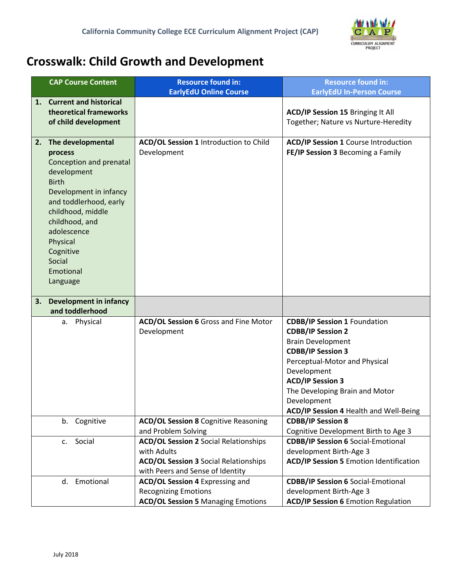

## **Crosswalk: Child Growth and Development**

| <b>CAP Course Content</b>                                                                                                                                                                                                                                       | <b>Resource found in:</b><br><b>EarlyEdU Online Course</b>                                                                                      | <b>Resource found in:</b><br><b>EarlyEdU In-Person Course</b>                                                                                                                                                                                                                                 |
|-----------------------------------------------------------------------------------------------------------------------------------------------------------------------------------------------------------------------------------------------------------------|-------------------------------------------------------------------------------------------------------------------------------------------------|-----------------------------------------------------------------------------------------------------------------------------------------------------------------------------------------------------------------------------------------------------------------------------------------------|
| <b>Current and historical</b><br>1.<br>theoretical frameworks<br>of child development                                                                                                                                                                           |                                                                                                                                                 | ACD/IP Session 15 Bringing It All<br>Together; Nature vs Nurture-Heredity                                                                                                                                                                                                                     |
| 2. The developmental<br>process<br>Conception and prenatal<br>development<br><b>Birth</b><br>Development in infancy<br>and toddlerhood, early<br>childhood, middle<br>childhood, and<br>adolescence<br>Physical<br>Cognitive<br>Social<br>Emotional<br>Language | ACD/OL Session 1 Introduction to Child<br>Development                                                                                           | <b>ACD/IP Session 1 Course Introduction</b><br>FE/IP Session 3 Becoming a Family                                                                                                                                                                                                              |
| <b>Development in infancy</b><br>3.<br>and toddlerhood                                                                                                                                                                                                          |                                                                                                                                                 |                                                                                                                                                                                                                                                                                               |
| a. Physical                                                                                                                                                                                                                                                     | ACD/OL Session 6 Gross and Fine Motor<br>Development                                                                                            | <b>CDBB/IP Session 1 Foundation</b><br><b>CDBB/IP Session 2</b><br><b>Brain Development</b><br><b>CDBB/IP Session 3</b><br>Perceptual-Motor and Physical<br>Development<br><b>ACD/IP Session 3</b><br>The Developing Brain and Motor<br>Development<br>ACD/IP Session 4 Health and Well-Being |
| Cognitive<br>b.                                                                                                                                                                                                                                                 | <b>ACD/OL Session 8 Cognitive Reasoning</b><br>and Problem Solving                                                                              | <b>CDBB/IP Session 8</b><br>Cognitive Development Birth to Age 3                                                                                                                                                                                                                              |
| Social<br>c.                                                                                                                                                                                                                                                    | <b>ACD/OL Session 2 Social Relationships</b><br>with Adults<br><b>ACD/OL Session 3 Social Relationships</b><br>with Peers and Sense of Identity | <b>CDBB/IP Session 6 Social-Emotional</b><br>development Birth-Age 3<br><b>ACD/IP Session 5 Emotion Identification</b>                                                                                                                                                                        |
| Emotional<br>d.                                                                                                                                                                                                                                                 | <b>ACD/OL Session 4 Expressing and</b><br><b>Recognizing Emotions</b><br><b>ACD/OL Session 5 Managing Emotions</b>                              | <b>CDBB/IP Session 6 Social-Emotional</b><br>development Birth-Age 3<br><b>ACD/IP Session 6 Emotion Regulation</b>                                                                                                                                                                            |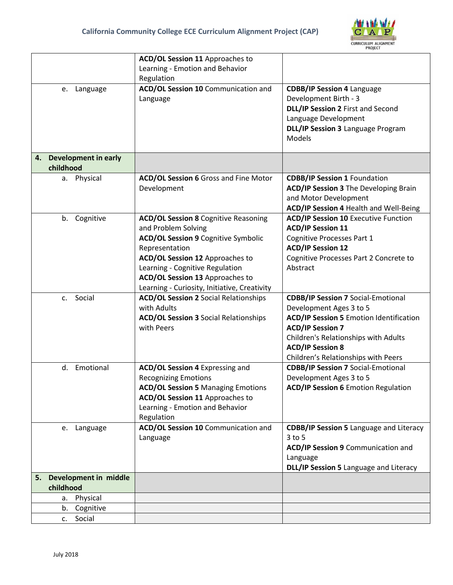

|                                   | <b>ACD/OL Session 11 Approaches to</b>       |                                                |
|-----------------------------------|----------------------------------------------|------------------------------------------------|
|                                   | Learning - Emotion and Behavior              |                                                |
|                                   | Regulation                                   |                                                |
| Language<br>e.                    | ACD/OL Session 10 Communication and          | <b>CDBB/IP Session 4 Language</b>              |
|                                   | Language                                     | Development Birth - 3                          |
|                                   |                                              | DLL/IP Session 2 First and Second              |
|                                   |                                              | Language Development                           |
|                                   |                                              | DLL/IP Session 3 Language Program              |
|                                   |                                              | Models                                         |
|                                   |                                              |                                                |
| <b>Development in early</b><br>4. |                                              |                                                |
| childhood                         |                                              |                                                |
| a. Physical                       | ACD/OL Session 6 Gross and Fine Motor        | <b>CDBB/IP Session 1 Foundation</b>            |
|                                   | Development                                  | <b>ACD/IP Session 3 The Developing Brain</b>   |
|                                   |                                              | and Motor Development                          |
|                                   |                                              | ACD/IP Session 4 Health and Well-Being         |
| b. Cognitive                      | <b>ACD/OL Session 8 Cognitive Reasoning</b>  | <b>ACD/IP Session 10 Executive Function</b>    |
|                                   | and Problem Solving                          | <b>ACD/IP Session 11</b>                       |
|                                   | <b>ACD/OL Session 9 Cognitive Symbolic</b>   | <b>Cognitive Processes Part 1</b>              |
|                                   | Representation                               | <b>ACD/IP Session 12</b>                       |
|                                   | ACD/OL Session 12 Approaches to              | Cognitive Processes Part 2 Concrete to         |
|                                   | Learning - Cognitive Regulation              | Abstract                                       |
|                                   | <b>ACD/OL Session 13 Approaches to</b>       |                                                |
|                                   | Learning - Curiosity, Initiative, Creativity |                                                |
| c. Social                         | <b>ACD/OL Session 2 Social Relationships</b> | <b>CDBB/IP Session 7 Social-Emotional</b>      |
|                                   | with Adults                                  | Development Ages 3 to 5                        |
|                                   | <b>ACD/OL Session 3 Social Relationships</b> | <b>ACD/IP Session 5 Emotion Identification</b> |
|                                   | with Peers                                   | <b>ACD/IP Session 7</b>                        |
|                                   |                                              | Children's Relationships with Adults           |
|                                   |                                              | <b>ACD/IP Session 8</b>                        |
|                                   |                                              | Children's Relationships with Peers            |
| Emotional<br>d.                   | <b>ACD/OL Session 4 Expressing and</b>       | <b>CDBB/IP Session 7 Social-Emotional</b>      |
|                                   | <b>Recognizing Emotions</b>                  | Development Ages 3 to 5                        |
|                                   | <b>ACD/OL Session 5 Managing Emotions</b>    | <b>ACD/IP Session 6</b> Emotion Regulation     |
|                                   | <b>ACD/OL Session 11 Approaches to</b>       |                                                |
|                                   | Learning - Emotion and Behavior              |                                                |
|                                   | Regulation                                   |                                                |
| Language<br>e.                    | ACD/OL Session 10 Communication and          | <b>CDBB/IP Session 5</b> Language and Literacy |
|                                   | Language                                     | $3$ to $5$                                     |
|                                   |                                              | ACD/IP Session 9 Communication and             |
|                                   |                                              | Language                                       |
|                                   |                                              | DLL/IP Session 5 Language and Literacy         |
| 5. Development in middle          |                                              |                                                |
| childhood                         |                                              |                                                |
| Physical<br>а.                    |                                              |                                                |
| Cognitive<br>b.                   |                                              |                                                |
| Social<br>c.                      |                                              |                                                |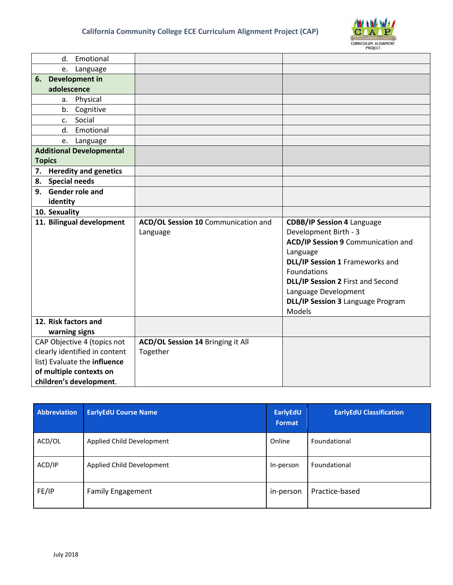

|    | Emotional<br>d.                 |                                          |                                    |
|----|---------------------------------|------------------------------------------|------------------------------------|
|    | Language<br>e.                  |                                          |                                    |
|    | 6. Development in               |                                          |                                    |
|    | adolescence                     |                                          |                                    |
|    | Physical<br>a.                  |                                          |                                    |
|    | Cognitive<br>b.                 |                                          |                                    |
|    | Social<br>c.                    |                                          |                                    |
|    | Emotional<br>d.                 |                                          |                                    |
|    | Language<br>e.                  |                                          |                                    |
|    | <b>Additional Developmental</b> |                                          |                                    |
|    | <b>Topics</b>                   |                                          |                                    |
| 7. | <b>Heredity and genetics</b>    |                                          |                                    |
|    | 8. Special needs                |                                          |                                    |
|    | 9. Gender role and              |                                          |                                    |
|    | identity                        |                                          |                                    |
|    | 10. Sexuality                   |                                          |                                    |
|    | 11. Bilingual development       | ACD/OL Session 10 Communication and      | <b>CDBB/IP Session 4 Language</b>  |
|    |                                 | Language                                 | Development Birth - 3              |
|    |                                 |                                          | ACD/IP Session 9 Communication and |
|    |                                 |                                          | Language                           |
|    |                                 |                                          | DLL/IP Session 1 Frameworks and    |
|    |                                 |                                          | Foundations                        |
|    |                                 |                                          | DLL/IP Session 2 First and Second  |
|    |                                 |                                          | Language Development               |
|    |                                 |                                          | DLL/IP Session 3 Language Program  |
|    |                                 |                                          | Models                             |
|    | 12. Risk factors and            |                                          |                                    |
|    | warning signs                   |                                          |                                    |
|    | CAP Objective 4 (topics not     | <b>ACD/OL Session 14 Bringing it All</b> |                                    |
|    | clearly identified in content   | Together                                 |                                    |
|    | list) Evaluate the influence    |                                          |                                    |
|    | of multiple contexts on         |                                          |                                    |
|    | children's development.         |                                          |                                    |

| Abbreviation | <b>EarlyEdU Course Name</b> | EarlyEdU<br>Format | <b>EarlyEdU Classification</b> |
|--------------|-----------------------------|--------------------|--------------------------------|
| ACD/OL       | Applied Child Development   | Online             | Foundational                   |
| ACD/IP       | Applied Child Development   | In-person          | Foundational                   |
| FE/IP        | <b>Family Engagement</b>    | in-person          | Practice-based                 |